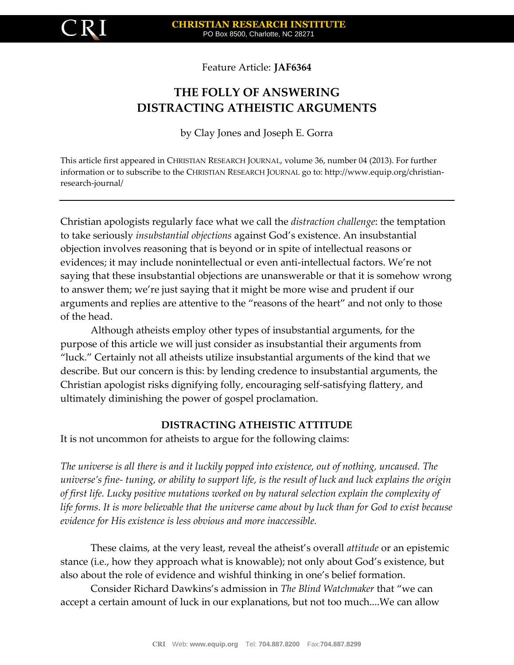

## Feature Article: **JAF6364**

# **THE FOLLY OF ANSWERING DISTRACTING ATHEISTIC ARGUMENTS**

by Clay Jones and Joseph E. Gorra

This article first appeared in CHRISTIAN RESEARCH JOURNAL, volume 36, number 04 (2013). For further information or to subscribe to the CHRISTIAN RESEARCH JOURNAL go to: http://www.equip.org/christianresearch-journal/

Christian apologists regularly face what we call the *distraction challenge*: the temptation to take seriously *insubstantial objections* against God's existence. An insubstantial objection involves reasoning that is beyond or in spite of intellectual reasons or evidences; it may include nonintellectual or even anti-intellectual factors. We're not saying that these insubstantial objections are unanswerable or that it is somehow wrong to answer them; we're just saying that it might be more wise and prudent if our arguments and replies are attentive to the "reasons of the heart" and not only to those of the head.

Although atheists employ other types of insubstantial arguments, for the purpose of this article we will just consider as insubstantial their arguments from "luck." Certainly not all atheists utilize insubstantial arguments of the kind that we describe. But our concern is this: by lending credence to insubstantial arguments, the Christian apologist risks dignifying folly, encouraging self-satisfying flattery, and ultimately diminishing the power of gospel proclamation.

## **DISTRACTING ATHEISTIC ATTITUDE**

It is not uncommon for atheists to argue for the following claims:

*The universe is all there is and it luckily popped into existence, out of nothing, uncaused. The universe's fine- tuning, or ability to support life, is the result of luck and luck explains the origin of first life. Lucky positive mutations worked on by natural selection explain the complexity of life forms. It is more believable that the universe came about by luck than for God to exist because evidence for His existence is less obvious and more inaccessible.*

These claims, at the very least, reveal the atheist's overall *attitude* or an epistemic stance (i.e., how they approach what is knowable); not only about God's existence, but also about the role of evidence and wishful thinking in one's belief formation.

Consider Richard Dawkins's admission in *The Blind Watchmaker* that "we can accept a certain amount of luck in our explanations, but not too much....We can allow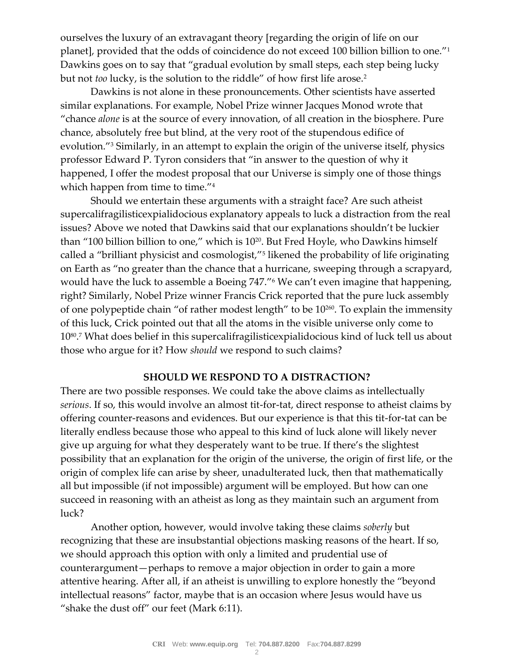ourselves the luxury of an extravagant theory [regarding the origin of life on our planet], provided that the odds of coincidence do not exceed 100 billion billion to one."<sup>1</sup> Dawkins goes on to say that "gradual evolution by small steps, each step being lucky but not *too* lucky, is the solution to the riddle" of how first life arose.<sup>2</sup>

Dawkins is not alone in these pronouncements. Other scientists have asserted similar explanations. For example, Nobel Prize winner Jacques Monod wrote that "chance *alone* is at the source of every innovation, of all creation in the biosphere. Pure chance, absolutely free but blind, at the very root of the stupendous edifice of evolution."<sup>3</sup> Similarly, in an attempt to explain the origin of the universe itself, physics professor Edward P. Tyron considers that "in answer to the question of why it happened, I offer the modest proposal that our Universe is simply one of those things which happen from time to time."<sup>4</sup>

Should we entertain these arguments with a straight face? Are such atheist supercalifragilisticexpialidocious explanatory appeals to luck a distraction from the real issues? Above we noted that Dawkins said that our explanations shouldn't be luckier than "100 billion billion to one," which is 1020. But Fred Hoyle, who Dawkins himself called a "brilliant physicist and cosmologist,"<sup>5</sup> likened the probability of life originating on Earth as "no greater than the chance that a hurricane, sweeping through a scrapyard, would have the luck to assemble a Boeing 747."<sup>6</sup> We can't even imagine that happening, right? Similarly, Nobel Prize winner Francis Crick reported that the pure luck assembly of one polypeptide chain "of rather modest length" to be 10260. To explain the immensity of this luck, Crick pointed out that all the atoms in the visible universe only come to 10<sup>80</sup> . <sup>7</sup> What does belief in this supercalifragilisticexpialidocious kind of luck tell us about those who argue for it? How *should* we respond to such claims?

#### **SHOULD WE RESPOND TO A DISTRACTION?**

There are two possible responses. We could take the above claims as intellectually *serious*. If so, this would involve an almost tit-for-tat, direct response to atheist claims by offering counter-reasons and evidences. But our experience is that this tit-for-tat can be literally endless because those who appeal to this kind of luck alone will likely never give up arguing for what they desperately want to be true. If there's the slightest possibility that an explanation for the origin of the universe, the origin of first life, or the origin of complex life can arise by sheer, unadulterated luck, then that mathematically all but impossible (if not impossible) argument will be employed. But how can one succeed in reasoning with an atheist as long as they maintain such an argument from luck?

Another option, however, would involve taking these claims *soberly* but recognizing that these are insubstantial objections masking reasons of the heart. If so, we should approach this option with only a limited and prudential use of counterargument—perhaps to remove a major objection in order to gain a more attentive hearing. After all, if an atheist is unwilling to explore honestly the "beyond intellectual reasons" factor, maybe that is an occasion where Jesus would have us "shake the dust off" our feet (Mark 6:11).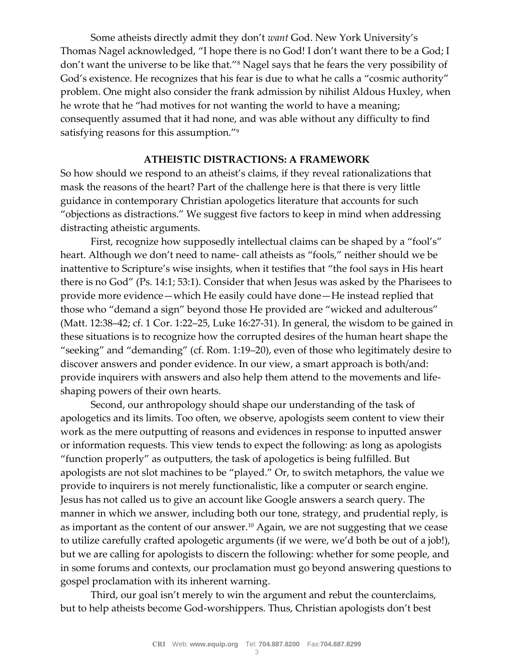Some atheists directly admit they don't *want* God. New York University's Thomas Nagel acknowledged, "I hope there is no God! I don't want there to be a God; I don't want the universe to be like that."<sup>8</sup> Nagel says that he fears the very possibility of God's existence. He recognizes that his fear is due to what he calls a "cosmic authority" problem. One might also consider the frank admission by nihilist Aldous Huxley, when he wrote that he "had motives for not wanting the world to have a meaning; consequently assumed that it had none, and was able without any difficulty to find satisfying reasons for this assumption."<sup>9</sup>

#### **ATHEISTIC DISTRACTIONS: A FRAMEWORK**

So how should we respond to an atheist's claims, if they reveal rationalizations that mask the reasons of the heart? Part of the challenge here is that there is very little guidance in contemporary Christian apologetics literature that accounts for such "objections as distractions." We suggest five factors to keep in mind when addressing distracting atheistic arguments.

First, recognize how supposedly intellectual claims can be shaped by a "fool's" heart. Although we don't need to name- call atheists as "fools," neither should we be inattentive to Scripture's wise insights, when it testifies that "the fool says in His heart there is no God" (Ps. 14:1; 53:1). Consider that when Jesus was asked by the Pharisees to provide more evidence—which He easily could have done—He instead replied that those who "demand a sign" beyond those He provided are "wicked and adulterous" (Matt. 12:38–42; cf. 1 Cor. 1:22–25, Luke 16:27-31). In general, the wisdom to be gained in these situations is to recognize how the corrupted desires of the human heart shape the "seeking" and "demanding" (cf. Rom. 1:19–20), even of those who legitimately desire to discover answers and ponder evidence. In our view, a smart approach is both/and: provide inquirers with answers and also help them attend to the movements and lifeshaping powers of their own hearts.

Second, our anthropology should shape our understanding of the task of apologetics and its limits. Too often, we observe, apologists seem content to view their work as the mere outputting of reasons and evidences in response to inputted answer or information requests. This view tends to expect the following: as long as apologists "function properly" as outputters, the task of apologetics is being fulfilled. But apologists are not slot machines to be "played." Or, to switch metaphors, the value we provide to inquirers is not merely functionalistic, like a computer or search engine. Jesus has not called us to give an account like Google answers a search query. The manner in which we answer, including both our tone, strategy, and prudential reply, is as important as the content of our answer.<sup>10</sup> Again, we are not suggesting that we cease to utilize carefully crafted apologetic arguments (if we were, we'd both be out of a job!), but we are calling for apologists to discern the following: whether for some people, and in some forums and contexts, our proclamation must go beyond answering questions to gospel proclamation with its inherent warning.

Third, our goal isn't merely to win the argument and rebut the counterclaims, but to help atheists become God-worshippers. Thus, Christian apologists don't best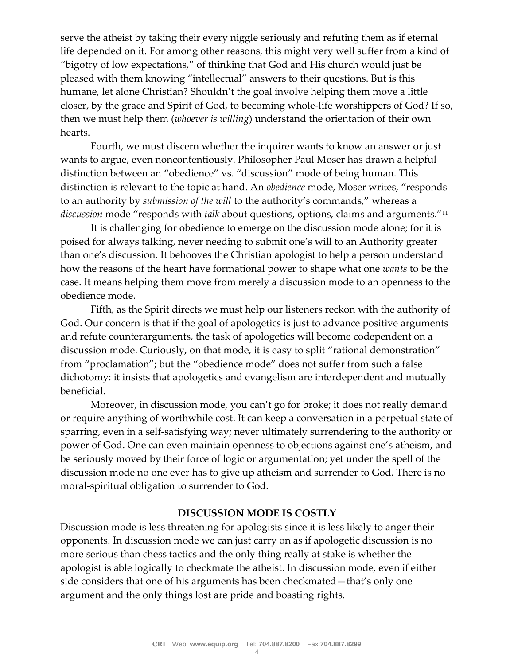serve the atheist by taking their every niggle seriously and refuting them as if eternal life depended on it. For among other reasons, this might very well suffer from a kind of "bigotry of low expectations," of thinking that God and His church would just be pleased with them knowing "intellectual" answers to their questions. But is this humane, let alone Christian? Shouldn't the goal involve helping them move a little closer, by the grace and Spirit of God, to becoming whole-life worshippers of God? If so, then we must help them (*whoever is willing*) understand the orientation of their own hearts.

Fourth, we must discern whether the inquirer wants to know an answer or just wants to argue, even noncontentiously. Philosopher Paul Moser has drawn a helpful distinction between an "obedience" vs. "discussion" mode of being human. This distinction is relevant to the topic at hand. An *obedience* mode, Moser writes, "responds to an authority by *submission of the will* to the authority's commands," whereas a *discussion* mode "responds with *talk* about questions, options, claims and arguments."<sup>11</sup>

It is challenging for obedience to emerge on the discussion mode alone; for it is poised for always talking, never needing to submit one's will to an Authority greater than one's discussion. It behooves the Christian apologist to help a person understand how the reasons of the heart have formational power to shape what one *wants* to be the case. It means helping them move from merely a discussion mode to an openness to the obedience mode.

Fifth, as the Spirit directs we must help our listeners reckon with the authority of God. Our concern is that if the goal of apologetics is just to advance positive arguments and refute counterarguments, the task of apologetics will become codependent on a discussion mode. Curiously, on that mode, it is easy to split "rational demonstration" from "proclamation"; but the "obedience mode" does not suffer from such a false dichotomy: it insists that apologetics and evangelism are interdependent and mutually beneficial.

Moreover, in discussion mode, you can't go for broke; it does not really demand or require anything of worthwhile cost. It can keep a conversation in a perpetual state of sparring, even in a self-satisfying way; never ultimately surrendering to the authority or power of God. One can even maintain openness to objections against one's atheism, and be seriously moved by their force of logic or argumentation; yet under the spell of the discussion mode no one ever has to give up atheism and surrender to God. There is no moral-spiritual obligation to surrender to God.

### **DISCUSSION MODE IS COSTLY**

Discussion mode is less threatening for apologists since it is less likely to anger their opponents. In discussion mode we can just carry on as if apologetic discussion is no more serious than chess tactics and the only thing really at stake is whether the apologist is able logically to checkmate the atheist. In discussion mode, even if either side considers that one of his arguments has been checkmated—that's only one argument and the only things lost are pride and boasting rights.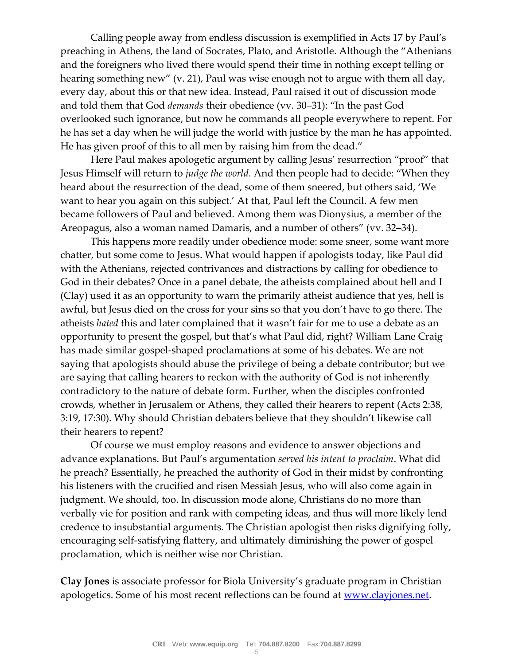Calling people away from endless discussion is exemplified in Acts 17 by Paul's preaching in Athens, the land of Socrates, Plato, and Aristotle. Although the "Athenians and the foreigners who lived there would spend their time in nothing except telling or hearing something new" (v. 21), Paul was wise enough not to argue with them all day, every day, about this or that new idea. Instead, Paul raised it out of discussion mode and told them that God *demands* their obedience (vv. 30–31): "In the past God overlooked such ignorance, but now he commands all people everywhere to repent. For he has set a day when he will judge the world with justice by the man he has appointed. He has given proof of this to all men by raising him from the dead."

Here Paul makes apologetic argument by calling Jesus' resurrection "proof" that Jesus Himself will return to *judge the world*. And then people had to decide: "When they heard about the resurrection of the dead, some of them sneered, but others said, 'We want to hear you again on this subject.' At that, Paul left the Council. A few men became followers of Paul and believed. Among them was Dionysius, a member of the Areopagus, also a woman named Damaris, and a number of others" (vv. 32–34).

This happens more readily under obedience mode: some sneer, some want more chatter, but some come to Jesus. What would happen if apologists today, like Paul did with the Athenians, rejected contrivances and distractions by calling for obedience to God in their debates? Once in a panel debate, the atheists complained about hell and I (Clay) used it as an opportunity to warn the primarily atheist audience that yes, hell is awful, but Jesus died on the cross for your sins so that you don't have to go there. The atheists *hated* this and later complained that it wasn't fair for me to use a debate as an opportunity to present the gospel, but that's what Paul did, right? William Lane Craig has made similar gospel-shaped proclamations at some of his debates. We are not saying that apologists should abuse the privilege of being a debate contributor; but we are saying that calling hearers to reckon with the authority of God is not inherently contradictory to the nature of debate form. Further, when the disciples confronted crowds, whether in Jerusalem or Athens, they called their hearers to repent (Acts 2:38, 3:19, 17:30). Why should Christian debaters believe that they shouldn't likewise call their hearers to repent?

Of course we must employ reasons and evidence to answer objections and advance explanations. But Paul's argumentation *served his intent to proclaim*. What did he preach? Essentially, he preached the authority of God in their midst by confronting his listeners with the crucified and risen Messiah Jesus, who will also come again in judgment. We should, too. In discussion mode alone, Christians do no more than verbally vie for position and rank with competing ideas, and thus will more likely lend credence to insubstantial arguments. The Christian apologist then risks dignifying folly, encouraging self-satisfying flattery, and ultimately diminishing the power of gospel proclamation, which is neither wise nor Christian.

**Clay Jones** is associate professor for Biola University's graduate program in Christian apologetics. Some of his most recent reflections can be found at [www.clayjones.net.](http://www.clayjones.net/)